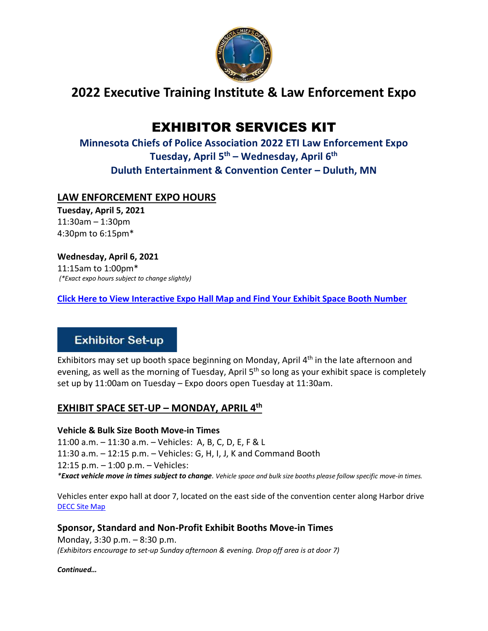

## **2022 Executive Training Institute & Law Enforcement Expo**

# EXHIBITOR SERVICES KIT

**Minnesota Chiefs of Police Association 2022 ETI Law Enforcement Expo Tuesday, April 5 th – Wednesday, April 6th Duluth Entertainment & Convention Center – Duluth, MN**

## **LAW ENFORCEMENT EXPO HOURS**

**Tuesday, April 5, 2021** 11:30am – 1:30pm 4:30pm to 6:15pm\*

**Wednesday, April 6, 2021**

11:15am to 1:00pm\* *(\*Exact expo hours subject to change slightly)*

**[Click Here to View Interactive Expo Hall Map and Find Your Exhibit Space Booth Number](https://www.mnchiefs.org/2022-eti-expo)**

## **Exhibitor Set-up**

Exhibitors may set up booth space beginning on Monday, April  $4<sup>th</sup>$  in the late afternoon and evening, as well as the morning of Tuesday, April 5<sup>th</sup> so long as your exhibit space is completely set up by 11:00am on Tuesday – Expo doors open Tuesday at 11:30am.

## **EXHIBIT SPACE SET-UP – MONDAY, APRIL 4th**

#### **Vehicle & Bulk Size Booth Move-in Times**

11:00 a.m. – 11:30 a.m. – Vehicles: A, B, C, D, E, F & L 11:30 a.m. – 12:15 p.m. – Vehicles: G, H, I, J, K and Command Booth 12:15 p.m. – 1:00 p.m. – Vehicles: *\*Exact vehicle move in times subject to change. Vehicle space and bulk size booths please follow specific move-in times.*

Vehicles enter expo hall at door 7, located on the east side of the convention center along Harbor drive [DECC Site Map](https://decc.org/wp-lib/wp-content/uploads/2015/11/decc-site-plan.pdf)

**Sponsor, Standard and Non-Profit Exhibit Booths Move-in Times**

Monday, 3:30 p.m. – 8:30 p.m. *(Exhibitors encourage to set-up Sunday afternoon & evening. Drop off area is at door 7)*

*Continued…*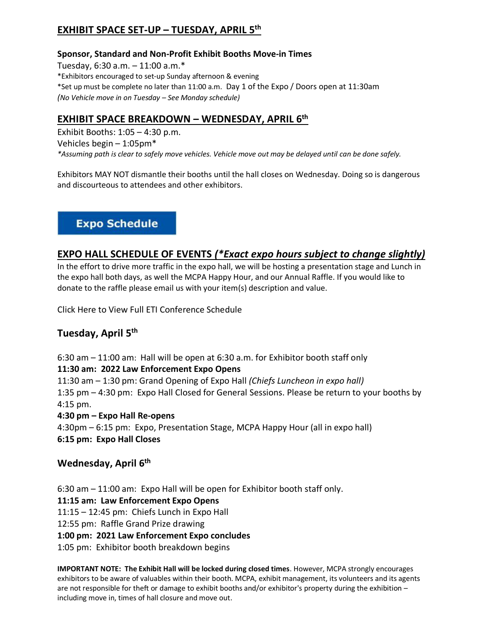## **EXHIBIT SPACE SET-UP – TUESDAY, APRIL 5th**

#### **Sponsor, Standard and Non-Profit Exhibit Booths Move-in Times**

Tuesday, 6:30 a.m. – 11:00 a.m.\* \*Exhibitors encouraged to set-up Sunday afternoon & evening \*Set up must be complete no later than 11:00 a.m. Day 1 of the Expo / Doors open at 11:30am *(No Vehicle move in on Tuesday – See Monday schedule)*

### **EXHIBIT SPACE BREAKDOWN – WEDNESDAY, APRIL 6th**

Exhibit Booths: 1:05 – 4:30 p.m. Vehicles begin – 1:05pm\* *\*Assuming path is clear to safely move vehicles. Vehicle move out may be delayed until can be done safely.*

Exhibitors MAY NOT dismantle their booths until the hall closes on Wednesday. Doing so is dangerous and discourteous to attendees and other exhibitors.

## **Expo Schedule**

### **EXPO HALL SCHEDULE OF EVENTS** *(\*Exact expo hours subject to change slightly)*

In the effort to drive more traffic in the expo hall, we will be hosting a presentation stage and Lunch in the expo hall both days, as well the MCPA Happy Hour, and our Annual Raffle. If you would like to donate to the raffle please email us with your item(s) description and value.

Click Here to View Full ETI Conference Schedule

## **Tuesday, April 5th**

6:30 am – 11:00 am: Hall will be open at 6:30 a.m. for Exhibitor booth staff only

#### **11:30 am: 2022 Law Enforcement Expo Opens**

11:30 am – 1:30 pm: Grand Opening of Expo Hall *(Chiefs Luncheon in expo hall)* 1:35 pm – 4:30 pm: Expo Hall Closed for General Sessions. Please be return to your booths by 4:15 pm.

#### **4:30 pm – Expo Hall Re-opens**

4:30pm – 6:15 pm: Expo, Presentation Stage, MCPA Happy Hour (all in expo hall) **6:15 pm: Expo Hall Closes**

#### **Wednesday, April 6th**

6:30 am – 11:00 am: Expo Hall will be open for Exhibitor booth staff only.

**11:15 am: Law Enforcement Expo Opens**

11:15 – 12:45 pm: Chiefs Lunch in Expo Hall

12:55 pm: Raffle Grand Prize drawing

#### **1:00 pm: 2021 Law Enforcement Expo concludes**

1:05 pm: Exhibitor booth breakdown begins

**IMPORTANT NOTE: The Exhibit Hall will be locked during closed times**. However, MCPA strongly encourages exhibitors to be aware of valuables within their booth. MCPA, exhibit management, its volunteers and its agents are not responsible for theft or damage to exhibit booths and/or exhibitor's property during the exhibition – including move in, times of hall closure and move out.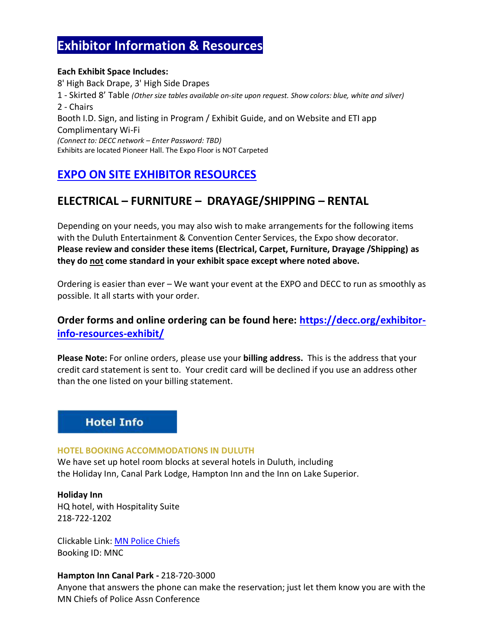## **Exhibitor Information & Resources**

#### **Each Exhibit Space Includes:**  8' High Back Drape, 3' High Side Drapes 1 - Skirted 8' Table *(Other size tables available on-site upon request. Show colors: blue, white and silver)* 2 - Chairs Booth I.D. Sign, and listing in Program / Exhibit Guide, and on Website and ETI app Complimentary Wi-Fi *(Connect to: DECC network – Enter Password: TBD)* Exhibits are located Pioneer Hall. The Expo Floor is NOT Carpeted

## **[EXPO ON SITE EXHIBITOR RESOURCES](https://decc.org/exhibitor-info-resources-exhibit/)**

## **ELECTRICAL – FURNITURE – DRAYAGE/SHIPPING – RENTAL**

Depending on your needs, you may also wish to make arrangements for the following items with the Duluth Entertainment & Convention Center Services, the Expo show decorator. **Please review and consider these items (Electrical, Carpet, Furniture, Drayage /Shipping) as they do not come standard in your exhibit space except where noted above.** 

Ordering is easier than ever – We want your event at the EXPO and DECC to run as smoothly as possible. It all starts with your order.

## **Order forms and online ordering can be found here: [https://decc.org/exhibitor](https://decc.org/exhibitor-info-resources-exhibit/)[info-resources-exhibit/](https://decc.org/exhibitor-info-resources-exhibit/)**

**Please Note:** For online orders, please use your **billing address.** This is the address that your credit card statement is sent to. Your credit card will be declined if you use an address other than the one listed on your billing statement.

## **Hotel Info**

#### **HOTEL BOOKING ACCOMMODATIONS IN DULUTH**

We have set up hotel room blocks at several hotels in Duluth, including the Holiday Inn, Canal Park Lodge, Hampton Inn and the Inn on Lake Superior.

**Holiday Inn** HQ hotel, with Hospitality Suite 218-722-1202

Clickable Link: [MN Police Chiefs](https://www.holidayinn.com/redirect?path=hd&brandCode=HI&localeCode=en®ionCode=1&hotelCode=DULMN&_PMID=99801505&GPC=MNC&cn=no&viewfullsite=true) Booking ID: MNC

#### **Hampton Inn Canal Park -** 218-720-3000

Anyone that answers the phone can make the reservation; just let them know you are with the MN Chiefs of Police Assn Conference